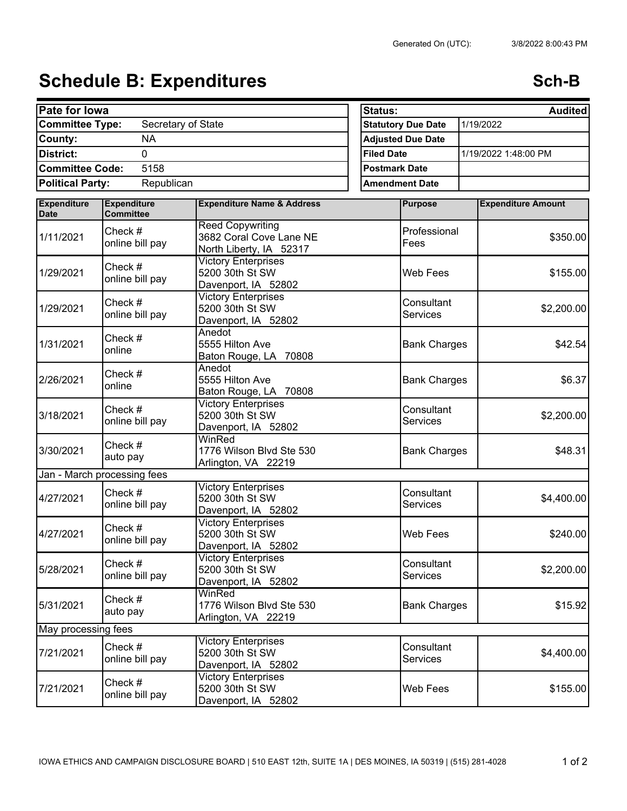## Schedule B: Expenditures **Schedule B: Expenditures** Sch-B

| Pate for lowa                                |                             |                                                                               |  | Status:<br><b>Audited</b> |                               |  |                           |  |
|----------------------------------------------|-----------------------------|-------------------------------------------------------------------------------|--|---------------------------|-------------------------------|--|---------------------------|--|
| <b>Committee Type:</b><br>Secretary of State |                             |                                                                               |  | <b>Statutory Due Date</b> |                               |  | 1/19/2022                 |  |
| <b>NA</b><br>County:                         |                             |                                                                               |  | <b>Adjusted Due Date</b>  |                               |  |                           |  |
| District:<br>$\overline{0}$                  |                             |                                                                               |  | <b>Filed Date</b>         |                               |  | 1/19/2022 1:48:00 PM      |  |
| <b>Committee Code:</b><br>5158               |                             |                                                                               |  | <b>Postmark Date</b>      |                               |  |                           |  |
| <b>Political Party:</b>                      |                             | <b>Amendment Date</b>                                                         |  |                           |                               |  |                           |  |
| <b>Expenditure</b>                           | <b>Expenditure</b>          | <b>Expenditure Name &amp; Address</b>                                         |  |                           | <b>Purpose</b>                |  | <b>Expenditure Amount</b> |  |
| <b>Date</b>                                  | <b>Committee</b>            |                                                                               |  |                           |                               |  |                           |  |
| 1/11/2021                                    | Check #<br>online bill pay  | <b>Reed Copywriting</b><br>3682 Coral Cove Lane NE<br>North Liberty, IA 52317 |  |                           | Professional<br>Fees          |  | \$350.00                  |  |
| 1/29/2021                                    | Check #<br>online bill pay  | <b>Victory Enterprises</b><br>5200 30th St SW<br>Davenport, IA 52802          |  |                           | Web Fees                      |  | \$155.00                  |  |
| 1/29/2021                                    | Check #<br>online bill pay  | <b>Victory Enterprises</b><br>5200 30th St SW<br>Davenport, IA 52802          |  |                           | Consultant<br><b>Services</b> |  | \$2,200.00                |  |
| 1/31/2021                                    | Check #<br>online           | Anedot<br>5555 Hilton Ave<br>Baton Rouge, LA 70808                            |  |                           | <b>Bank Charges</b>           |  | \$42.54                   |  |
| 2/26/2021                                    | Check #<br>online           | Anedot<br>5555 Hilton Ave<br>Baton Rouge, LA 70808                            |  |                           | <b>Bank Charges</b>           |  | \$6.37                    |  |
| 3/18/2021                                    | Check #<br>online bill pay  | <b>Victory Enterprises</b><br>5200 30th St SW<br>Davenport, IA 52802          |  |                           | Consultant<br><b>Services</b> |  | \$2,200.00                |  |
| 3/30/2021                                    | Check #<br>auto pay         | WinRed<br>1776 Wilson Blvd Ste 530<br>Arlington, VA 22219                     |  |                           | <b>Bank Charges</b>           |  | \$48.31                   |  |
|                                              | Jan - March processing fees |                                                                               |  |                           |                               |  |                           |  |
| 4/27/2021                                    | Check #<br>online bill pay  | <b>Victory Enterprises</b><br>5200 30th St SW<br>Davenport, IA 52802          |  |                           | Consultant<br>Services        |  | \$4,400.00                |  |
| 4/27/2021                                    | Check #<br>online bill pay  | <b>Victory Enterprises</b><br>5200 30th St SW<br>Davenport, IA 52802          |  |                           | Web Fees                      |  | \$240.00                  |  |
| 5/28/2021                                    | Check #<br>online bill pay  | <b>Victory Enterprises</b><br>5200 30th St SW<br>Davenport, IA 52802          |  |                           | Consultant<br>Services        |  | \$2,200.00                |  |
| 5/31/2021                                    | Check #<br>auto pay         | WinRed<br>1776 Wilson Blvd Ste 530<br>Arlington, VA 22219                     |  |                           | <b>Bank Charges</b>           |  | \$15.92                   |  |
| May processing fees                          |                             |                                                                               |  |                           |                               |  |                           |  |
| 7/21/2021                                    | Check #<br>online bill pay  | <b>Victory Enterprises</b><br>5200 30th St SW<br>Davenport, IA 52802          |  |                           | Consultant<br>Services        |  | \$4,400.00                |  |
| 7/21/2021                                    | Check #<br>online bill pay  | <b>Victory Enterprises</b><br>5200 30th St SW<br>Davenport, IA 52802          |  |                           | Web Fees                      |  | \$155.00                  |  |